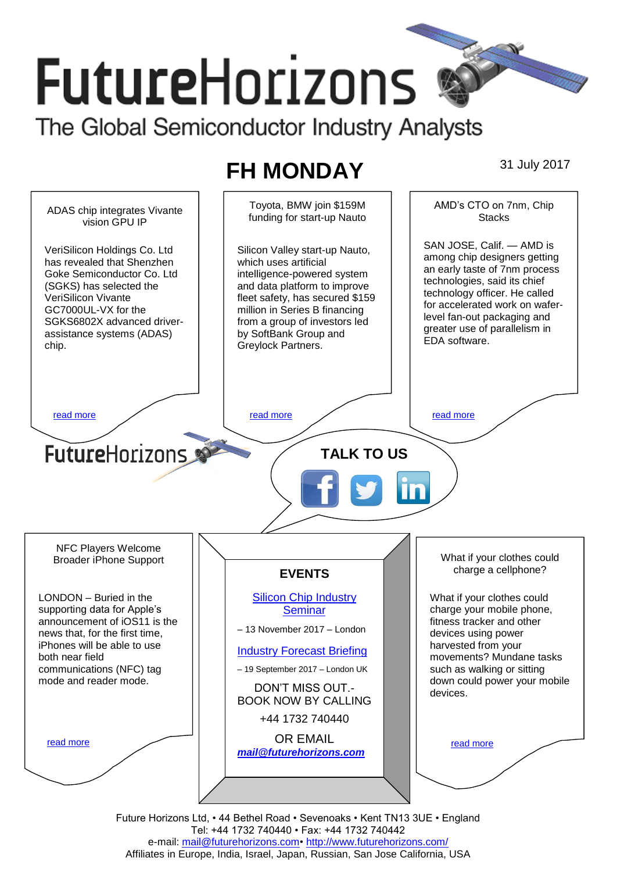# **FutureHorizons** The Global Semiconductor Industry Analysts

# **FH MONDAY** 31 July 2017

Toyota, BMW join \$159M AMD's CTO on 7nm, Chip ADAS chip integrates Vivante funding for start-up Nauto **Stacks** vision GPU IP SAN JOSE, Calif. — AMD is VeriSilicon Holdings Co. Ltd Silicon Valley start-up Nauto, among chip designers getting has revealed that Shenzhen which uses artificial an early taste of 7nm process Goke Semiconductor Co. Ltd intelligence-powered system technologies, said its chief (SGKS) has selected the and data platform to improve technology officer. He called VeriSilicon Vivante fleet safety, has secured \$159 for accelerated work on wafer-GC7000UL-VX for the million in Series B financing level fan-out packaging and SGKS6802X advanced driverfrom a group of investors led greater use of parallelism in by SoftBank Group and assistance systems (ADAS) EDA software. chip. Greylock Partners. [read more](#page-1-1) that the second contract the second contract of the read more that the read more that the read more **Future**Horizons **TALK TO US** NFC Players Welcome What if your clothes could Broader iPhone Support charge a cellphone? **EVENTS** LONDON – Buried in the [Silicon Chip Industry](http://www.futurehorizons.com/page/12/silicon-chip-training)  What if your clothes could supporting data for Apple's **[Seminar](http://www.futurehorizons.com/page/12/silicon-chip-training)** charge your mobile phone, announcement of iOS11 is the fitness tracker and other – 13 November 2017 – London news that, for the first time, devices using power iPhones will be able to use harvested from your [Industry Forecast Briefing](http://www.futurehorizons.com/page/13/Semiconductor-Market-Forecast-Seminar) both near field movements? Mundane tasks communications (NFC) tag – 19 September 2017 – London UK such as walking or sitting mode and reader mode.down could power your mobile DON'T MISS OUT. devices. BOOK NOW BY CALLING +44 1732 740440 OR EMAIL [read more](#page-1-3) [read more](#page-1-4) *[mail@futurehorizons.com](mailto:mail@futurehorizons.com)*

Future Horizons Ltd, • 44 Bethel Road • Sevenoaks • Kent TN13 3UE • England Tel: +44 1732 740440 • Fax: +44 1732 740442 e-mail: mail@futurehorizons.com• http://www.futurehorizons.com/ Affiliates in Europe, India, Israel, Japan, Russian, San Jose California, USA